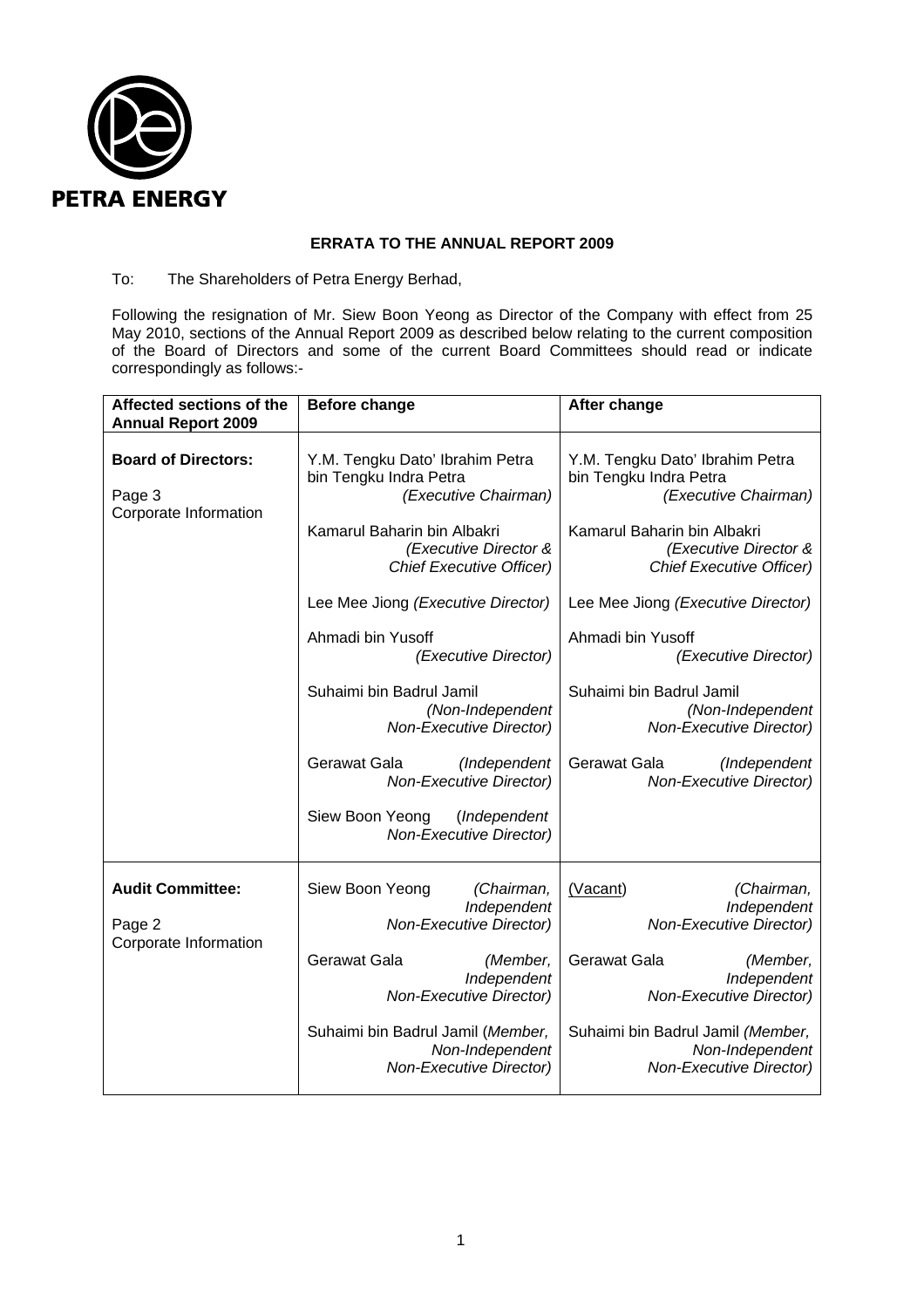

# **ERRATA TO THE ANNUAL REPORT 2009**

# To: The Shareholders of Petra Energy Berhad,

Following the resignation of Mr. Siew Boon Yeong as Director of the Company with effect from 25 May 2010, sections of the Annual Report 2009 as described below relating to the current composition of the Board of Directors and some of the current Board Committees should read or indicate correspondingly as follows:-

| Affected sections of the<br><b>Annual Report 2009</b>         | <b>Before change</b>                                                                    | After change                                                                            |
|---------------------------------------------------------------|-----------------------------------------------------------------------------------------|-----------------------------------------------------------------------------------------|
| <b>Board of Directors:</b><br>Page 3<br>Corporate Information | Y.M. Tengku Dato' Ibrahim Petra<br>bin Tengku Indra Petra<br>(Executive Chairman)       | Y.M. Tengku Dato' Ibrahim Petra<br>bin Tengku Indra Petra<br>(Executive Chairman)       |
|                                                               | Kamarul Baharin bin Albakri<br>(Executive Director &<br><b>Chief Executive Officer)</b> | Kamarul Baharin bin Albakri<br>(Executive Director &<br><b>Chief Executive Officer)</b> |
|                                                               | Lee Mee Jiong (Executive Director)                                                      | Lee Mee Jiong (Executive Director)                                                      |
|                                                               | Ahmadi bin Yusoff<br>(Executive Director)                                               | Ahmadi bin Yusoff<br>(Executive Director)                                               |
|                                                               | Suhaimi bin Badrul Jamil<br>(Non-Independent<br><b>Non-Executive Director)</b>          | Suhaimi bin Badrul Jamil<br>(Non-Independent<br><b>Non-Executive Director)</b>          |
|                                                               | (Independent<br>Gerawat Gala<br>Non-Executive Director)                                 | Gerawat Gala<br>(Independent<br><b>Non-Executive Director)</b>                          |
|                                                               | Siew Boon Yeong<br>(Independent<br><b>Non-Executive Director)</b>                       |                                                                                         |
| <b>Audit Committee:</b><br>Page 2<br>Corporate Information    | (Chairman,<br>Siew Boon Yeong<br>Independent<br><b>Non-Executive Director)</b>          | (Vacant)<br>(Chairman,<br>Independent<br><b>Non-Executive Director)</b>                 |
|                                                               | <b>Gerawat Gala</b><br>(Member,<br>Independent<br><b>Non-Executive Director)</b>        | Gerawat Gala<br>(Member,<br>Independent<br><b>Non-Executive Director)</b>               |
|                                                               | Suhaimi bin Badrul Jamil (Member,<br>Non-Independent<br>Non-Executive Director)         | Suhaimi bin Badrul Jamil (Member,<br>Non-Independent<br>Non-Executive Director)         |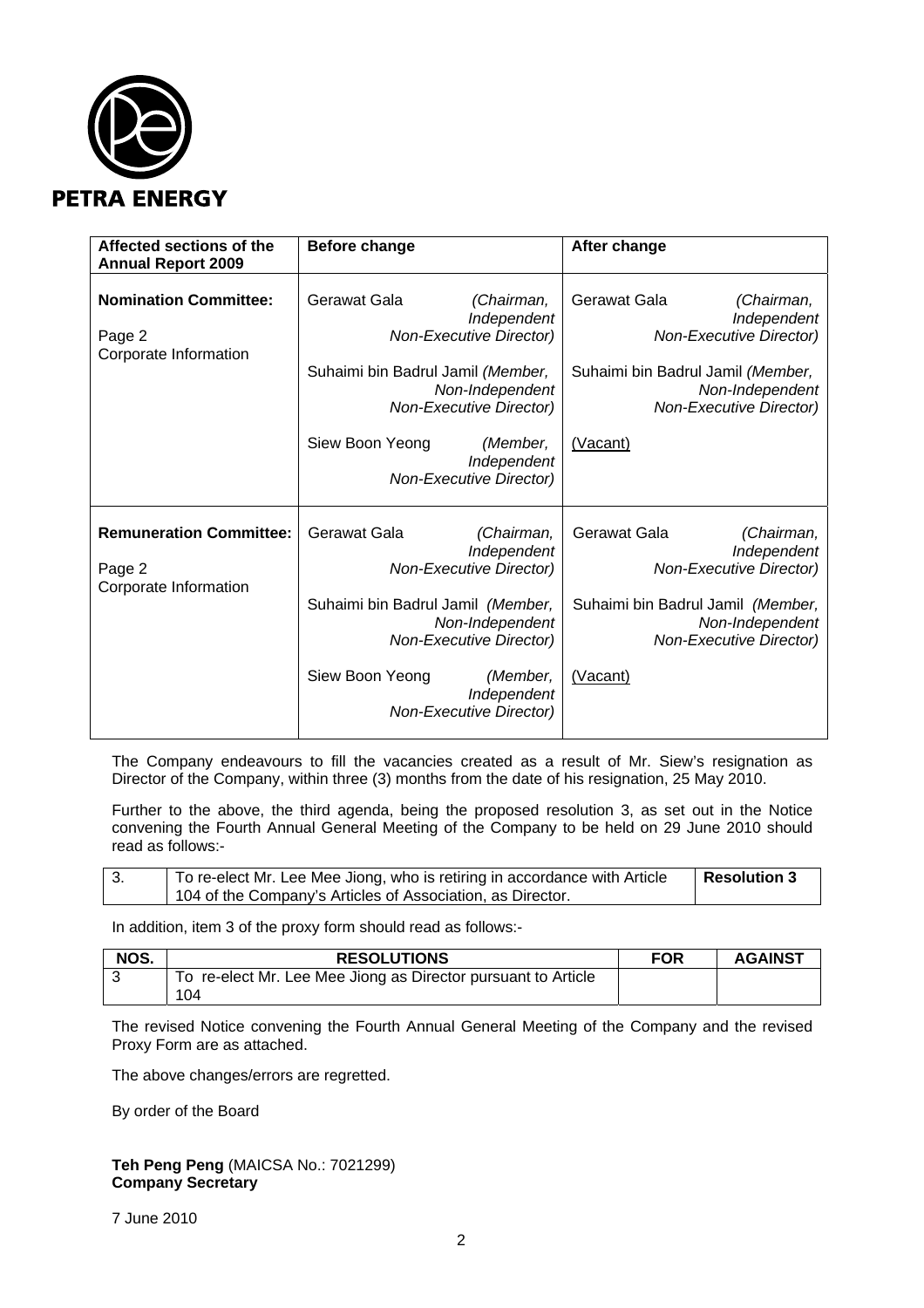

| Affected sections of the<br><b>Annual Report 2009</b>             | Before change                                                                                                                                                                                                                                         | After change                                                                                                                                                                      |
|-------------------------------------------------------------------|-------------------------------------------------------------------------------------------------------------------------------------------------------------------------------------------------------------------------------------------------------|-----------------------------------------------------------------------------------------------------------------------------------------------------------------------------------|
| <b>Nomination Committee:</b><br>Page 2<br>Corporate Information   | Gerawat Gala<br>(Chairman,<br>Independent<br><b>Non-Executive Director)</b><br>Suhaimi bin Badrul Jamil (Member,<br>Non-Independent<br><b>Non-Executive Director)</b><br>Siew Boon Yeong<br>(Member,<br>Independent<br><b>Non-Executive Director)</b> | Gerawat Gala<br>(Chairman,<br>Independent<br><b>Non-Executive Director)</b><br>Suhaimi bin Badrul Jamil (Member,<br>Non-Independent<br><b>Non-Executive Director)</b><br>(Vacant) |
| <b>Remuneration Committee:</b><br>Page 2<br>Corporate Information | Gerawat Gala<br>(Chairman,<br>Independent<br><b>Non-Executive Director)</b><br>Suhaimi bin Badrul Jamil (Member,<br>Non-Independent<br><b>Non-Executive Director)</b><br>Siew Boon Yeong<br>(Member,<br>Independent<br><b>Non-Executive Director)</b> | Gerawat Gala<br>(Chairman,<br>Independent<br><b>Non-Executive Director)</b><br>Suhaimi bin Badrul Jamil (Member,<br>Non-Independent<br><b>Non-Executive Director)</b><br>(Vacant) |

The Company endeavours to fill the vacancies created as a result of Mr. Siew's resignation as Director of the Company, within three (3) months from the date of his resignation, 25 May 2010.

Further to the above, the third agenda, being the proposed resolution 3, as set out in the Notice convening the Fourth Annual General Meeting of the Company to be held on 29 June 2010 should read as follows:-

| . ა. | To re-elect Mr. Lee Mee Jiong, who is retiring in accordance with Article | <b>Resolution 3</b> |
|------|---------------------------------------------------------------------------|---------------------|
|      | 104 of the Company's Articles of Association, as Director.                |                     |

In addition, item 3 of the proxy form should read as follows:-

| NOS. | <b>RESOLUTIONS</b>                                            | <b>FOR</b> | <b>AGAINST</b> |
|------|---------------------------------------------------------------|------------|----------------|
|      | To re-elect Mr. Lee Mee Jiong as Director pursuant to Article |            |                |
|      | 104                                                           |            |                |

The revised Notice convening the Fourth Annual General Meeting of the Company and the revised Proxy Form are as attached.

The above changes/errors are regretted.

By order of the Board

**Teh Peng Peng** (MAICSA No.: 7021299) **Company Secretary** 

7 June 2010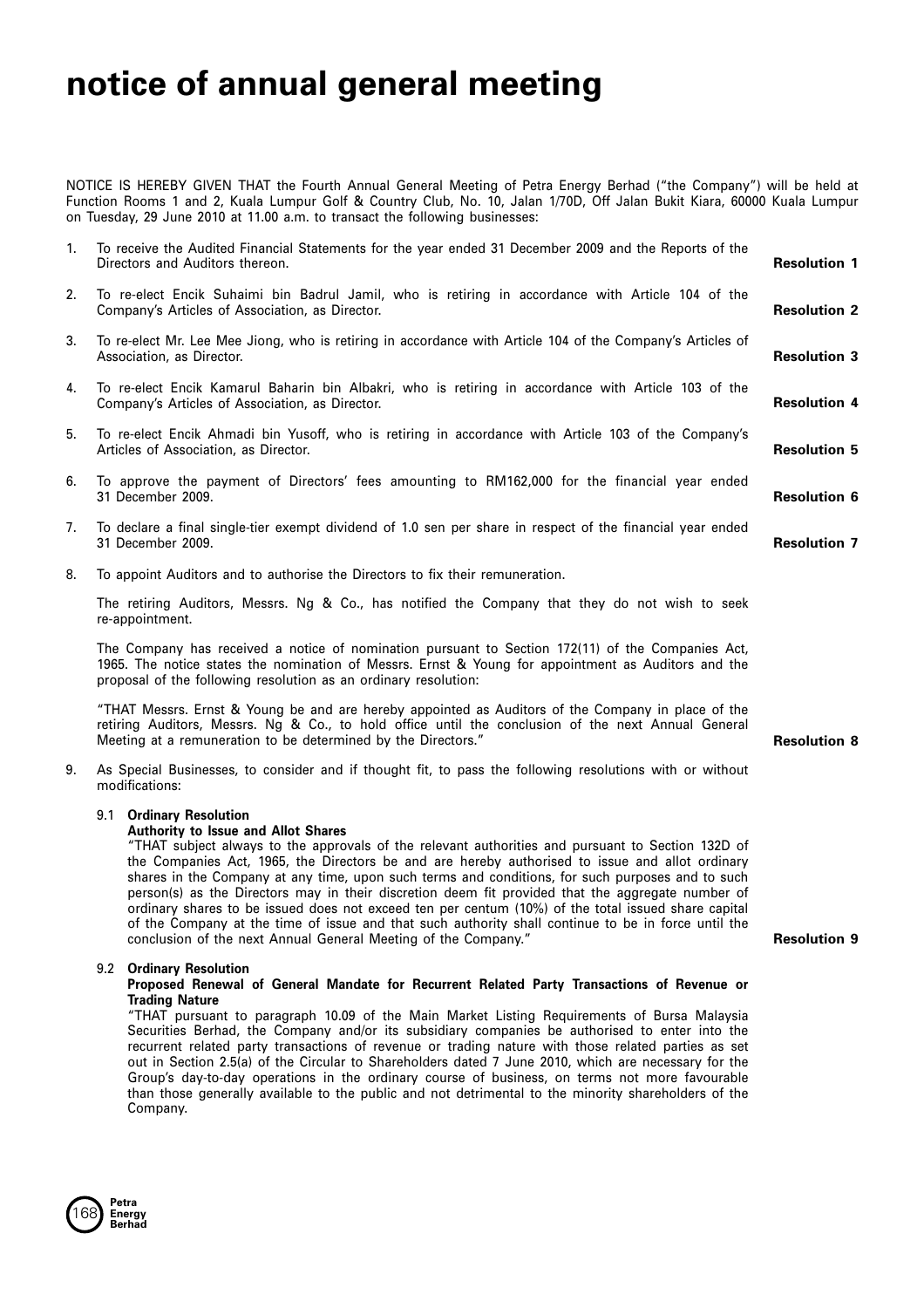# **notice of annual general meeting**

NOTICE IS HEREBY GIVEN THAT the Fourth Annual General Meeting of Petra Energy Berhad ("the Company") will be held at Function Rooms 1 and 2, Kuala Lumpur Golf & Country Club, No. 10, Jalan 1/70D, Off Jalan Bukit Kiara, 60000 Kuala Lumpur on Tuesday, 29 June 2010 at 11.00 a.m. to transact the following businesses:

| 1. | To receive the Audited Financial Statements for the year ended 31 December 2009 and the Reports of the<br>Directors and Auditors thereon.                                                                                                                                   | <b>Resolution 1</b> |
|----|-----------------------------------------------------------------------------------------------------------------------------------------------------------------------------------------------------------------------------------------------------------------------------|---------------------|
| 2. | To re-elect Encik Suhaimi bin Badrul Jamil, who is retiring in accordance with Article 104 of the<br>Company's Articles of Association, as Director.                                                                                                                        | <b>Resolution 2</b> |
| 3. | To re-elect Mr. Lee Mee Jiong, who is retiring in accordance with Article 104 of the Company's Articles of<br>Association, as Director.                                                                                                                                     | <b>Resolution 3</b> |
| 4. | To re-elect Encik Kamarul Baharin bin Albakri, who is retiring in accordance with Article 103 of the<br>Company's Articles of Association, as Director.                                                                                                                     | <b>Resolution 4</b> |
| 5. | To re-elect Encik Ahmadi bin Yusoff, who is retiring in accordance with Article 103 of the Company's<br>Articles of Association, as Director.                                                                                                                               | <b>Resolution 5</b> |
| 6. | To approve the payment of Directors' fees amounting to RM162,000 for the financial year ended<br>31 December 2009.                                                                                                                                                          | <b>Resolution 6</b> |
| 7. | To declare a final single-tier exempt dividend of 1.0 sen per share in respect of the financial year ended<br>31 December 2009.                                                                                                                                             | <b>Resolution 7</b> |
| 8. | To appoint Auditors and to authorise the Directors to fix their remuneration.                                                                                                                                                                                               |                     |
|    | The retiring Auditors, Messrs. Ng & Co., has notified the Company that they do not wish to seek<br>re-appointment.                                                                                                                                                          |                     |
|    | The Company has received a notice of nomination pursuant to Section 172(11) of the Companies Act,<br>1965. The notice states the nomination of Messrs. Ernst & Young for appointment as Auditors and the<br>proposal of the following resolution as an ordinary resolution: |                     |
|    | "THAT Messrs. Ernst & Young be and are hereby appointed as Auditors of the Company in place of the<br>retiring Auditors, Messrs. Ng & Co., to hold office until the conclusion of the next Annual General<br>Meeting at a remuneration to be determined by the Directors."  | <b>Resolution 8</b> |
| 9. | As Special Businesses, to consider and if thought fit, to pass the following resolutions with or without<br>modifications:                                                                                                                                                  |                     |
|    | 9.1 Ordinary Resolution<br><b>Authority to Issue and Allot Shares</b>                                                                                                                                                                                                       |                     |

"THAT subject always to the approvals of the relevant authorities and pursuant to Section 132D of the Companies Act, 1965, the Directors be and are hereby authorised to issue and allot ordinary shares in the Company at any time, upon such terms and conditions, for such purposes and to such person(s) as the Directors may in their discretion deem fit provided that the aggregate number of ordinary shares to be issued does not exceed ten per centum (10%) of the total issued share capital of the Company at the time of issue and that such authority shall continue to be in force until the conclusion of the next Annual General Meeting of the Company."

**Resolution 9**

# 9.2 **Ordinary Resolution**

# Proposed Renewal of General Mandate for Recurrent Related Party Transactions of Revenue or **Trading Nature**

"THAT pursuant to paragraph 10.09 of the Main Market Listing Requirements of Bursa Malaysia Securities Berhad, the Company and/or its subsidiary companies be authorised to enter into the recurrent related party transactions of revenue or trading nature with those related parties as set out in Section 2.5(a) of the Circular to Shareholders dated 7 June 2010, which are necessary for the Group's day-to-day operations in the ordinary course of business, on terms not more favourable than those generally available to the public and not detrimental to the minority shareholders of the Company.

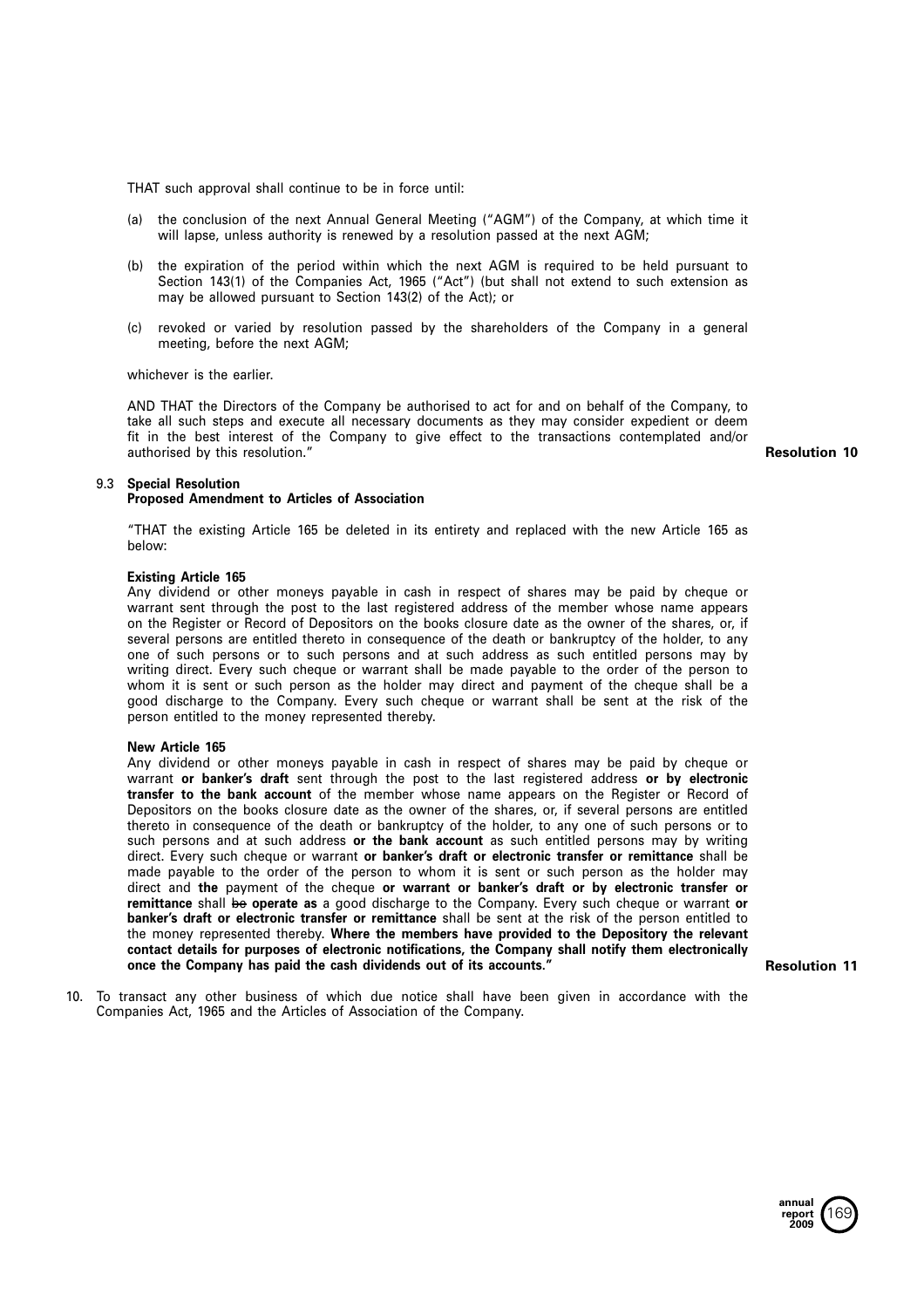THAT such approval shall continue to be in force until:

- (a) the conclusion of the next Annual General Meeting ("AGM") of the Company, at which time it will lapse, unless authority is renewed by a resolution passed at the next AGM;
- (b) the expiration of the period within which the next AGM is required to be held pursuant to Section 143(1) of the Companies Act, 1965 ("Act") (but shall not extend to such extension as may be allowed pursuant to Section 143(2) of the Act); or
- (c) revoked or varied by resolution passed by the shareholders of the Company in <sup>a</sup> general meeting, before the next AGM;

whichever is the earlier.

AND THAT the Directors of the Company be authorised to act for and on behalf of the Company, to take all such steps and execute all necessary documents as they may consider expedient or deem fit in the best interest of the Company to give effect to the transactions contemplated and/or authorised by this resolution."

**Resolution 10**

### 9.3 **Special Resolution**

# **Proposed Amendment to Articles of Association**

"THAT the existing Article 165 be deleted in its entirety and replaced with the new Article 165 as below:

# **Existing Article 165**

Any dividend or other moneys payable in cash in respect of shares may be paid by cheque or warrant sent through the post to the last registered address of the member whose name appears on the Register or Record of Depositors on the books closure date as the owner of the shares, or, if several persons are entitled thereto in consequence of the death or bankruptcy of the holder, to any one of such persons or to such persons and at such address as such entitled persons may by writing direct. Every such cheque or warrant shall be made payable to the order of the person to whom it is sent or such person as the holder may direct and payment of the cheque shall be <sup>a</sup> good discharge to the Company. Every such cheque or warrant shall be sent at the risk of the person entitled to the money represented thereby.

# **New Article 165**

Any dividend or other moneys payable in cash in respect of shares may be paid by cheque or warrant **or banker's draft** sent through the post to the last registered address **or by electronic transfer to the bank account** of the member whose name appears on the Register or Record of Depositors on the books closure date as the owner of the shares, or, if several persons are entitled thereto in consequence of the death or bankruptcy of the holder, to any one of such persons or to such persons and at such address **or the bank account** as such entitled persons may by writing direct. Every such cheque or warrant **or banker's draft or electronic transfer or remittance** shall be made payable to the order of the person to whom it is sent or such person as the holder may direct and the payment of the cheque or warrant or banker's draft or by electronic transfer or **remittance** shall be **operate as** <sup>a</sup> good discharge to the Company. Every such cheque or warrant **or banker's draft or electronic transfer or remittance** shall be sent at the risk of the person entitled to the money represented thereby. Where the members have provided to the Depository the relevant contact details for purposes of electronic notifications, the Company shall notify them electronically once the Company has paid the cash dividends out of its accounts."

**Resolution 11**

10. To transact any other business of which due notice shall have been given in accordance with the Companies Act, 1965 and the Articles of Association of the Company.

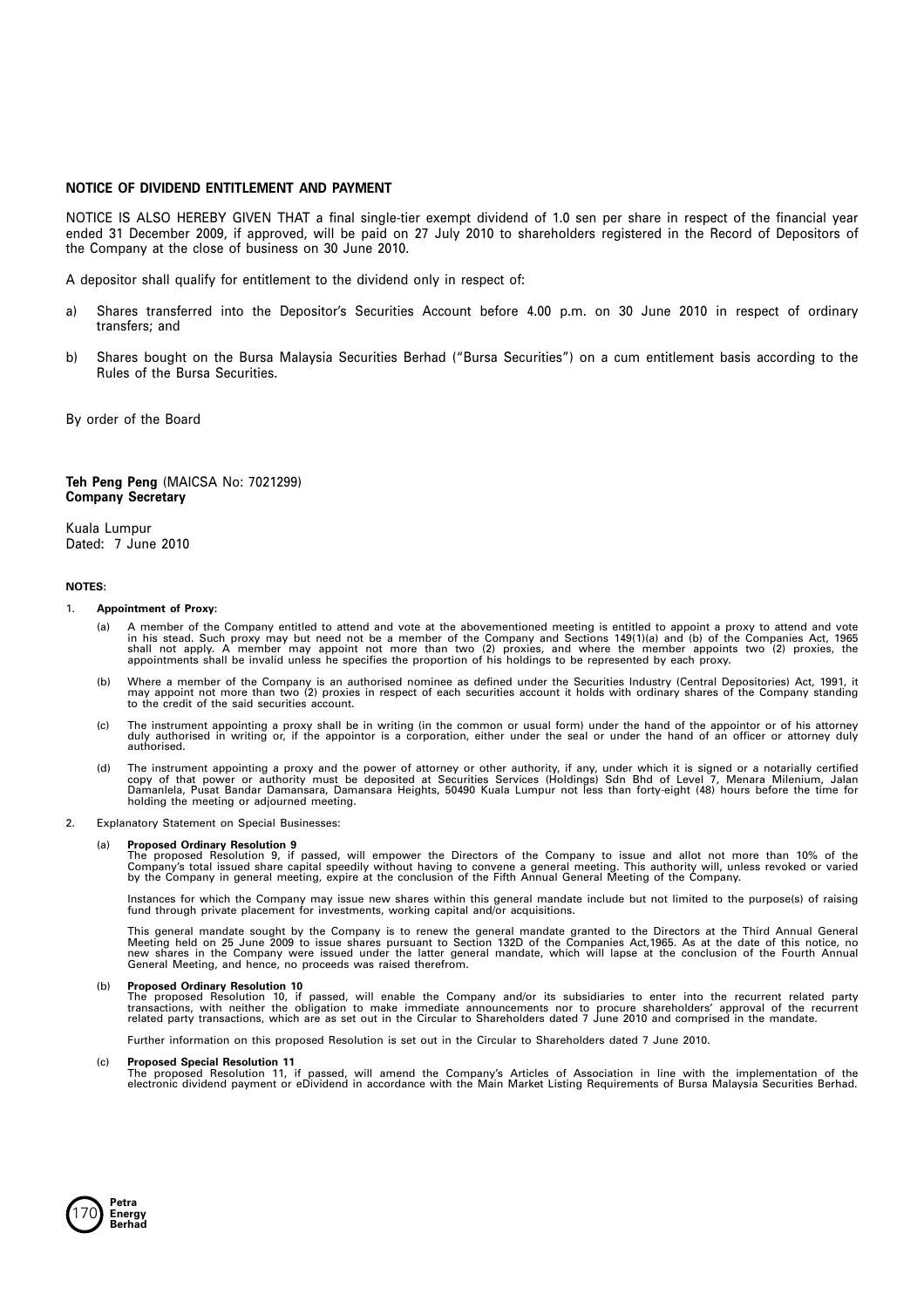# **NOTICE OF DIVIDEND ENTITLEMENT AND PAYMENT**

NOTICE IS ALSO HEREBY GIVEN THAT <sup>a</sup> final single-tier exempt dividend of 1.0 sen per share in respect of the financial year ended 31 December 2009, if approved, will be paid on 27 July 2010 to shareholders registered in the Record of Depositors of the Company at the close of business on 30 June 2010.

A depositor shall qualify for entitlement to the dividend only in respect of:

- a) Shares transferred into the Depositor's Securities Account before 4.00 p.m. on 30 June 2010 in respect of ordinary transfers; and
- b) Shares bought on the Bursa Malaysia Securities Berhad ("Bursa Securities") on <sup>a</sup> cum entitlement basis according to the Rules of the Bursa Securities.

By order of the Board

### **Teh Peng Peng** (MAICSA No: 7021299) **Company Secretary**

Kuala Lumpur Dated: 7 June 2010

#### **NOTES:**

## 1. **Appointment of Proxy:**

- (a) A member of the Company entitled to attend and vote at the abovementioned meeting is entitled to appoint a proxy to attend and vote<br>in his stead. Such proxy may but need not be a member of the Company and Sections 149(
- b) Where a member of the Company is an authorised nominee as defined under the Securities Industry (Central Depositories) Act, 1991, it)<br>may appoint not more than two (2) proxies in respect of each securities account it ho
- (c) The instrument appointing a proxy shall be in writing (in the common or usual form) under the hand of the appointor or of his attorney<br>duly authorised in writing or, if the appointor is a corporation, either under the authorised.
- d) The instrument appointing a proxy and the power of attorney or other authority, if any, under which it is signed or a notarially certified)<br>copy of that power or authority must be deposited at Securities Services (Holdi holding the meeting or adjourned meeting.
- 2. Explanatory Statement on Special Businesses:

#### (a) **Proposed Ordinary Resolution 9**

The proposed Resolution 9, if passed, will empower the Directors of the Company to issue and allot not more than 10% of the<br>Company's total issued share capital speedily without having to convene a general meeting. This au by the Company in general meeting, expire at the conclusion of the Fifth Annual General Meeting of the Company.

Instances for which the Company may issue new shares within this general mandate include but not limited to the purpose(s) of raising fund through private placement for investments, working capital and/or acquisitions.

This general mandate sought by the Company is to renew the general mandate granted to the Directors at the Third Annual General<br>Meeting held on 25 June 2009 to issue shares pursuant to Section 132D of the Companies Act,196

(b) **Proposed Ordinary Resolution 10**<br>The proposed Resolution 10, if passed, will enable the Company and/or its subsidiaries to enter into the recurrent related party<br>transactions, with neither the obligation to make immed

Further information on this proposed Resolution is set out in the Circular to Shareholders dated 7 June 2010.

#### (c) **Proposed Special Resolution 11**

The proposed Resolution 11, if passed, will amend the Company's Articles of Association in line with the implementation of the<br>electronic dividend payment or eDividend in accordance with the Main Market Listing Requirement

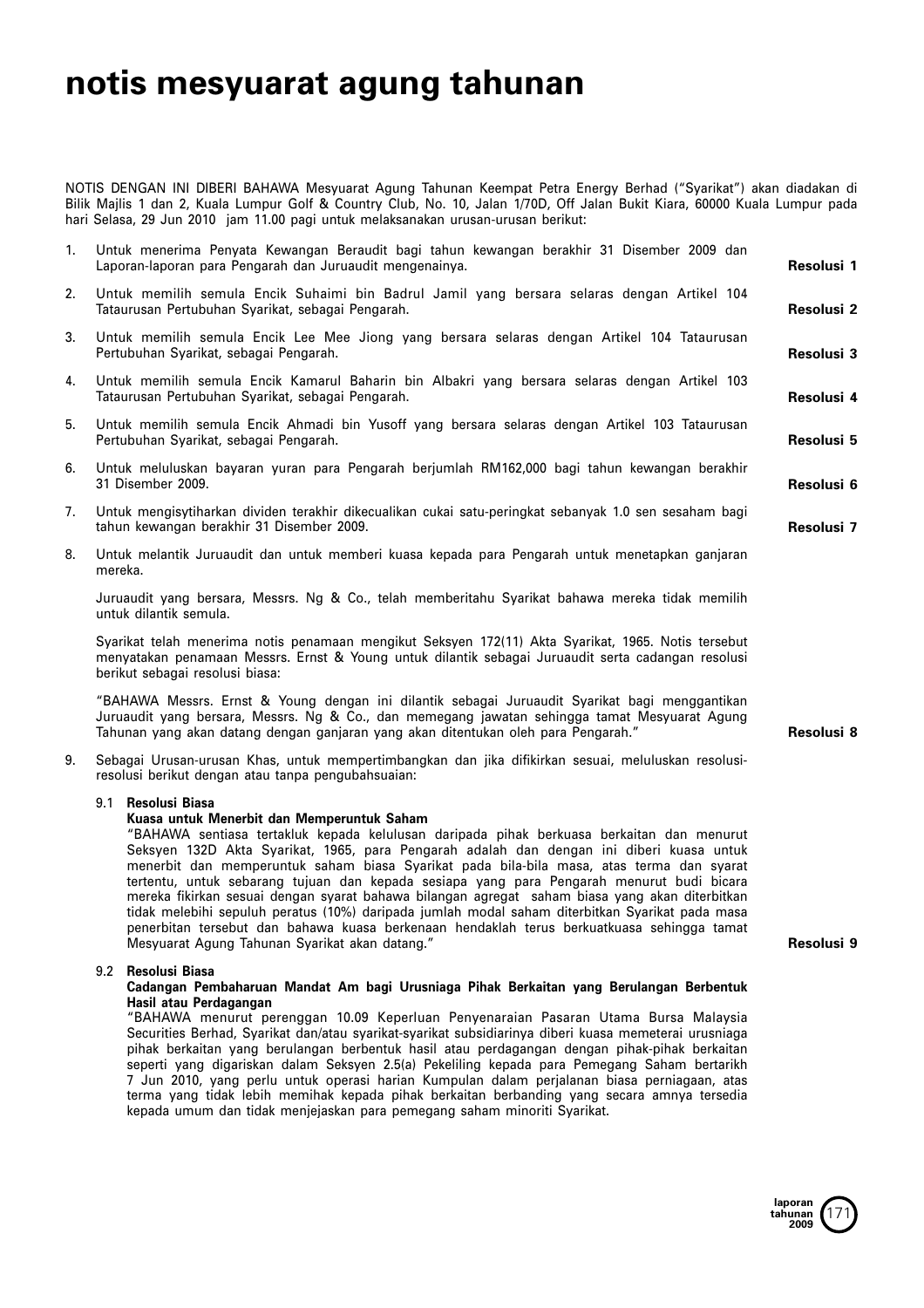# **notis mesyuarat agung tahunan**

NOTIS DENGAN INI DIBERI BAHAWA Mesyuarat Agung Tahunan Keempat Petra Energy Berhad ("Syarikat") akan diadakan di Bilik Majlis 1 dan 2, Kuala Lumpur Golf & Country Club, No. 10, Jalan 1/70D, Off Jalan Bukit Kiara, 60000 Kuala Lumpur pada hari Selasa, 29 Jun 2010 jam 11.00 pagi untuk melaksanakan urusan-urusan berikut:

| 1. | Untuk menerima Penyata Kewangan Beraudit bagi tahun kewangan berakhir 31 Disember 2009 dan<br>Laporan-laporan para Pengarah dan Juruaudit mengenainya.                                                                                                                                | Resolusi 1        |
|----|---------------------------------------------------------------------------------------------------------------------------------------------------------------------------------------------------------------------------------------------------------------------------------------|-------------------|
| 2. | Untuk memilih semula Encik Suhaimi bin Badrul Jamil yang bersara selaras dengan Artikel 104<br>Tataurusan Pertubuhan Syarikat, sebagai Pengarah.                                                                                                                                      | Resolusi 2        |
| 3. | Untuk memilih semula Encik Lee Mee Jiong yang bersara selaras dengan Artikel 104 Tataurusan<br>Pertubuhan Syarikat, sebagai Pengarah.                                                                                                                                                 | Resolusi 3        |
| 4. | Untuk memilih semula Encik Kamarul Baharin bin Albakri yang bersara selaras dengan Artikel 103<br>Tataurusan Pertubuhan Syarikat, sebagai Pengarah.                                                                                                                                   | Resolusi 4        |
| 5. | Untuk memilih semula Encik Ahmadi bin Yusoff yang bersara selaras dengan Artikel 103 Tataurusan<br>Pertubuhan Syarikat, sebagai Pengarah.                                                                                                                                             | <b>Resolusi 5</b> |
| 6. | Untuk meluluskan bayaran yuran para Pengarah berjumlah RM162,000 bagi tahun kewangan berakhir<br>31 Disember 2009.                                                                                                                                                                    | Resolusi 6        |
| 7. | Untuk mengisytiharkan dividen terakhir dikecualikan cukai satu-peringkat sebanyak 1.0 sen sesaham bagi<br>tahun kewangan berakhir 31 Disember 2009.                                                                                                                                   | Resolusi 7        |
| 8. | Untuk melantik Juruaudit dan untuk memberi kuasa kepada para Pengarah untuk menetapkan ganjaran<br>mereka.                                                                                                                                                                            |                   |
|    | Juruaudit yang bersara, Messrs. Ng & Co., telah memberitahu Syarikat bahawa mereka tidak memilih<br>untuk dilantik semula.                                                                                                                                                            |                   |
|    | Syarikat telah menerima notis penamaan mengikut Seksyen 172(11) Akta Syarikat, 1965. Notis tersebut<br>menyatakan penamaan Messrs. Ernst & Young untuk dilantik sebagai Juruaudit serta cadangan resolusi<br>berikut sebagai resolusi biasa:                                          |                   |
|    | "BAHAWA Messrs. Ernst & Young dengan ini dilantik sebagai Juruaudit Syarikat bagi menggantikan<br>Juruaudit yang bersara, Messrs. Ng & Co., dan memegang jawatan sehingga tamat Mesyuarat Agung<br>Tahunan yang akan datang dengan ganjaran yang akan ditentukan oleh para Pengarah." | Resolusi 8        |
| 9. | Sebagai Urusan-urusan Khas, untuk mempertimbangkan dan jika difikirkan sesuai, meluluskan resolusi-<br>resolusi berikut dengan atau tanpa pengubahsuaian:                                                                                                                             |                   |

# 9.1 **Resolusi Biasa**

# **Kuasa untuk Menerbit dan Memperuntuk Saham**

"BAHAWA sentiasa tertakluk kepada kelulusan daripada pihak berkuasa berkaitan dan menurut Seksyen 132D Akta Syarikat, 1965, para Pengarah adalah dan dengan ini diberi kuasa untuk menerbit dan memperuntuk saham biasa Syarikat pada bila-bila masa, atas terma dan syarat tertentu, untuk sebarang tujuan dan kepada sesiapa yang para Pengarah menurut budi bicara mereka fikirkan sesuai dengan syarat bahawa bilangan agregat saham biasa yang akan diterbitkan tidak melebihi sepuluh peratus (10%) daripada jumlah modal saham diterbitkan Syarikat pada masa penerbitan tersebut dan bahawa kuasa berkenaan hendaklah terus berkuatkuasa sehingga tamat Mesyuarat Agung Tahunan Syarikat akan datang."

# 9.2 **Resolusi Biasa**

# Cadangan Pembaharuan Mandat Am bagi Urusniaga Pihak Berkaitan yang Berulangan Berbentuk **Hasil atau Perdagangan**

"BAHAWA menurut perenggan 10.09 Keperluan Penyenaraian Pasaran Utama Bursa Malaysia Securities Berhad, Syarikat dan/atau syarikat-syarikat subsidiarinya diberi kuasa memeterai urusniaga pihak berkaitan yang berulangan berbentuk hasil atau perdagangan dengan pihak-pihak berkaitan seperti yang digariskan dalam Seksyen 2.5(a) Pekeliling kepada para Pemegang Saham bertarikh 7 Jun 2010, yang perlu untuk operasi harian Kumpulan dalam perjalanan biasa perniagaan, atas terma yang tidak lebih memihak kepada pihak berkaitan berbanding yang secara amnya tersedia kepada umum dan tidak menjejaskan para pemegang saham minoriti Syarikat.

**Resolusi 9**

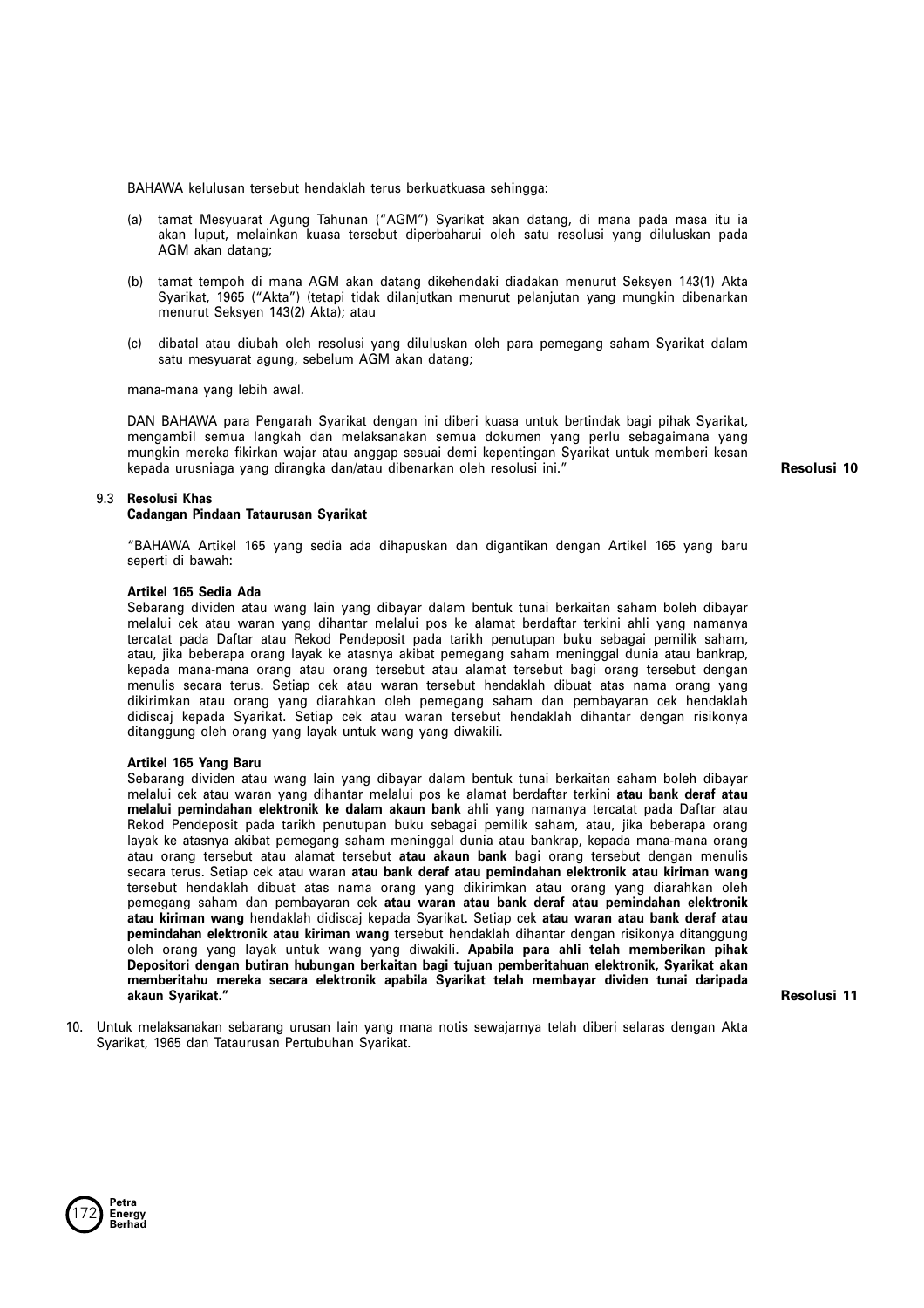BAHAWA kelulusan tersebut hendaklah terus berkuatkuasa sehingga:

- (a) tamat Mesyuarat Agung Tahunan ("AGM") Syarikat akan datang, di mana pada masa itu ia akan luput, melainkan kuasa tersebut diperbaharui oleh satu resolusi yang diluluskan pada AGM akan datang;
- (b) tamat tempoh di mana AGM akan datang dikehendaki diadakan menurut Seksyen 143(1) Akta Syarikat, 1965 ("Akta") (tetapi tidak dilanjutkan menurut pelanjutan yang mungkin dibenarkan menurut Seksyen 143(2) Akta); atau
- (c) dibatal atau diubah oleh resolusi yang diluluskan oleh para pemegang saham Syarikat dalam satu mesyuarat agung, sebelum AGM akan datang;

mana-mana yang lebih awal.

DAN BAHAWA para Pengarah Syarikat dengan ini diberi kuasa untuk bertindak bagi pihak Syarikat, mengambil semua langkah dan melaksanakan semua dokumen yang perlu sebagaimana yang mungkin mereka fikirkan wajar atau anggap sesuai demi kepentingan Syarikat untuk memberi kesan kepada urusniaga yang dirangka dan/atau dibenarkan oleh resolusi ini."

**Resolusi 10**

# 9.3 **Resolusi Khas**

## **Cadangan Pindaan Tataurusan Syarikat**

"BAHAWA Artikel 165 yang sedia ada dihapuskan dan digantikan dengan Artikel 165 yang baru seperti di bawah:

## **Artikel 165 Sedia Ada**

Sebarang dividen atau wang lain yang dibayar dalam bentuk tunai berkaitan saham boleh dibayar melalui cek atau waran yang dihantar melalui pos ke alamat berdaftar terkini ahli yang namanya tercatat pada Daftar atau Rekod Pendeposit pada tarikh penutupan buku sebagai pemilik saham, atau, jika beberapa orang layak ke atasnya akibat pemegang saham meninggal dunia atau bankrap, kepada mana-mana orang atau orang tersebut atau alamat tersebut bagi orang tersebut dengan menulis secara terus. Setiap cek atau waran tersebut hendaklah dibuat atas nama orang yang dikirimkan atau orang yang diarahkan oleh pemegang saham dan pembayaran cek hendaklah didiscaj kepada Syarikat. Setiap cek atau waran tersebut hendaklah dihantar dengan risikonya ditanggung oleh orang yang layak untuk wang yang diwakili.

#### **Artikel 165 Yang Baru**

Sebarang dividen atau wang lain yang dibayar dalam bentuk tunai berkaitan saham boleh dibayar melalui cek atau waran yang dihantar melalui pos ke alamat berdaftar terkini **atau bank deraf atau melalui pemindahan elektronik ke dalam akaun bank** ahli yang namanya tercatat pada Daftar atau Rekod Pendeposit pada tarikh penutupan buku sebagai pemilik saham, atau, jika beberapa orang layak ke atasnya akibat pemegang saham meninggal dunia atau bankrap, kepada mana-mana orang atau orang tersebut atau alamat tersebut **atau akaun bank** bagi orang tersebut dengan menulis secara terus. Setiap cek atau waran **atau bank deraf atau pemindahan elektronik atau kiriman wang** tersebut hendaklah dibuat atas nama orang yang dikirimkan atau orang yang diarahkan oleh pemegang saham dan pembayaran cek **atau waran atau bank deraf atau pemindahan elektronik atau kiriman wang** hendaklah didiscaj kepada Syarikat. Setiap cek **atau waran atau bank deraf atau pemindahan elektronik atau kiriman wang** tersebut hendaklah dihantar dengan risikonya ditanggung oleh orang yang layak untuk wang yang diwakili. **Apabila para ahli telah memberikan pihak** Depositori dengan butiran hubungan berkaitan bagi tujuan pemberitahuan elektronik, Syarikat akan memberitahu mereka secara elektronik apabila Syarikat telah membayar dividen tunai daripada **akaun Syarikat."**

**Resolusi 11**

10. Untuk melaksanakan sebarang urusan lain yang mana notis sewajarnya telah diberi selaras dengan Akta Syarikat, 1965 dan Tataurusan Pertubuhan Syarikat.

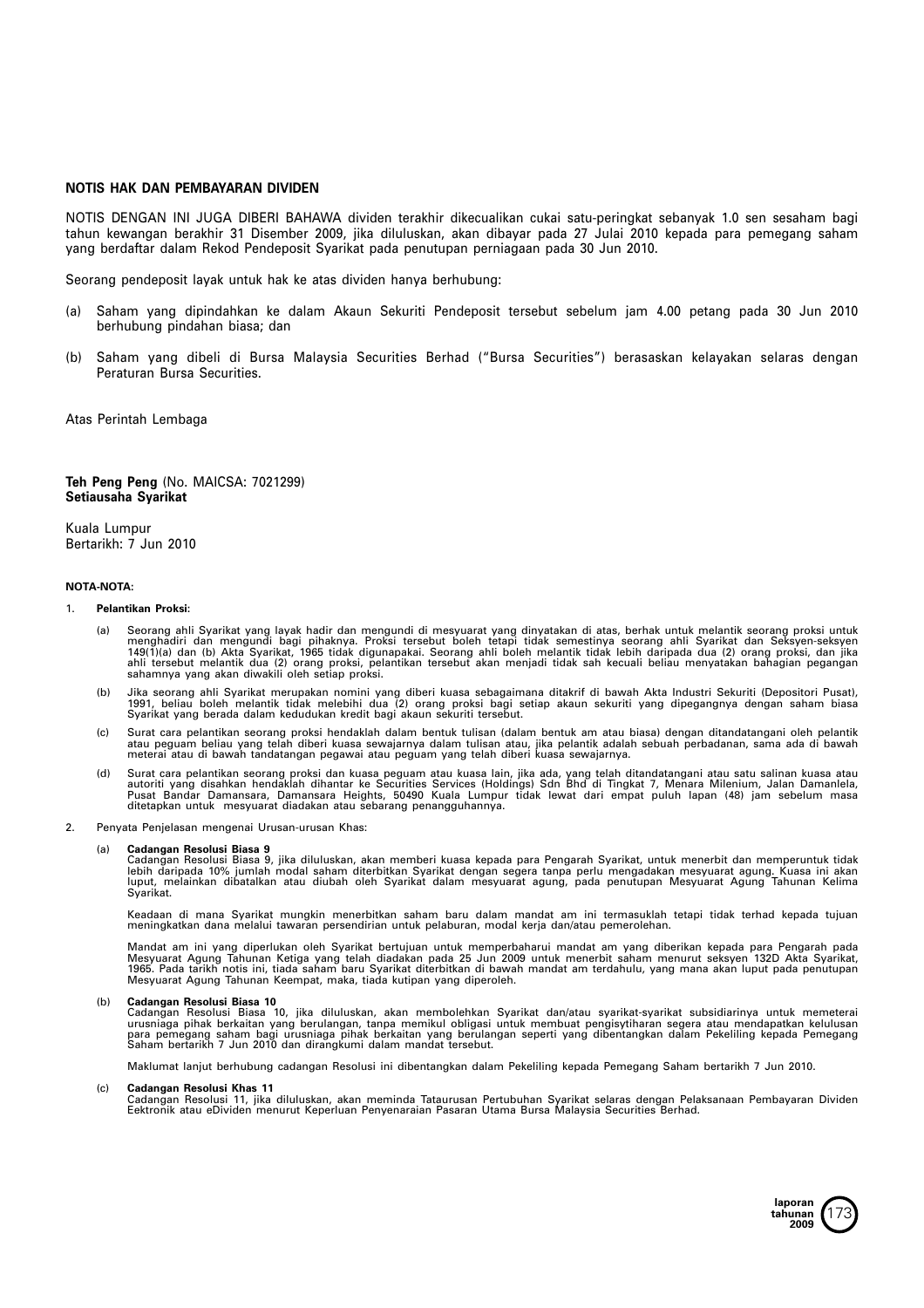# **NOTIS HAK DAN PEMBAYARAN DIVIDEN**

NOTIS DENGAN INI JUGA DIBERI BAHAWA dividen terakhir dikecualikan cukai satu-peringkat sebanyak 1.0 sen sesaham bagi tahun kewangan berakhir 31 Disember 2009, jika diluluskan, akan dibayar pada 27 Julai 2010 kepada para pemegang saham yang berdaftar dalam Rekod Pendeposit Syarikat pada penutupan perniagaan pada 30 Jun 2010.

Seorang pendeposit layak untuk hak ke atas dividen hanya berhubung:

- (a) Saham yang dipindahkan ke dalam Akaun Sekuriti Pendeposit tersebut sebelum jam 4.00 petang pada 30 Jun 2010 berhubung pindahan biasa; dan
- (b) Saham yang dibeli di Bursa Malaysia Securities Berhad ("Bursa Securities") berasaskan kelayakan selaras dengan Peraturan Bursa Securities.

Atas Perintah Lembaga

### **Teh Peng Peng** (No. MAICSA: 7021299) **Setiausaha Syarikat**

Kuala Lumpur Bertarikh: 7 Jun 2010

### **NOTA-NOTA:**

#### 1. **Pelantikan Proksi:**

- a) Seorang ahli Syarikat yang layak hadir dan mengundi di mesyuarat yang dinyatakan di atas, berhak untuk melantik seorang proksi untuk<br>menghadiri dan mengundi bagi pihaknya. Proksi tersebut boleh tetapi tidak semestinya s
- (b) Jika seorang ahli Syarikat merupakan nomini yang diberi kuasa sebagaimana ditakrif di bawah Akta Industri Sekuriti (Depositori Pusat),<br>1991, beliau boleh melantik tidak melebihi dua (2) orang proksi bagi setiap akaun s
- c) Surat cara pelantikan seorang proksi hendaklah dalam bentuk tulisan (dalam bentuk am atau biasa) dengan ditandatangani oleh pelantik)<br>atau peguam beliau yang telah diberi kuasa sewajarnya dalam tulisan atau, jika pelant
- d) Surat cara pelantikan seorang proksi dan kuasa peguam atau kuasa lain, jika ada, yang telah ditandatangani atau satu salinan kuasa atau autoriti yang talin atau satu salinan kuasa atau<br>autoriti yang disahkan hendaklah d
- 2. Penyata Penjelasan mengenai Urusan-urusan Khas:

#### (a) **Cadangan Resolusi Biasa 9**

Cadangan Resolusi Biasa 9, jika diluluskan, akan memberi kuasa kepada para Pengarah Syarikat, untuk menerbit dan memperuntuk tidak<br>lebih daripada 10% jumlah modal saham diterbitkan Syarikat dengan segera tanpa perlu mengad

Keadaan di mana Syarikat mungkin menerbitkan saham baru dalam mandat am ini termasuklah tetapi tidak terhad kepada tujuan<br>meningkatkan dana melalui tawaran persendirian untuk pelaburan, modal kerja dan/atau pemerolehan.

Mandat am ini yang diperlukan oleh Syarikat bertujuan untuk memperbaharui mandat am yang diberikan kepada para Pengarah pada<br>Mesyuarat Agung Tahunan Ketiga yang telah diadakan pada 25 Jun 2009 untuk menerbit saham menurut Mesyuarat Agung Tahunan Keempat, maka, tiada kutipan yang diperoleh.

#### (b) **Cadangan Resolusi Biasa 10**

Cadangan Resolusi Biasa 10, jika diluluskan, akan membolehkan Syarikat dan/atau syarikat-syarikat subsidiarinya untuk memeterai<br>urusniaga pihak berkaitan yang berulangan, tanpa memikul obligasi untuk membuat pengisytiharan

Maklumat lanjut berhubung cadangan Resolusi ini dibentangkan dalam Pekeliling kepada Pemegang Saham bertarikh 7 Jun 2010.

(c) **Cadangan Resolusi Khas 11** Cadangan Resolusi 11, jika diluluskan, akan meminda Tataurusan Pertubuhan Syarikat selaras dengan Pelaksanaan Pembayaran Dividen Eektronik atau eDividen menurut Keperluan Penyenaraian Pasaran Utama Bursa Malaysia Securities Berhad.

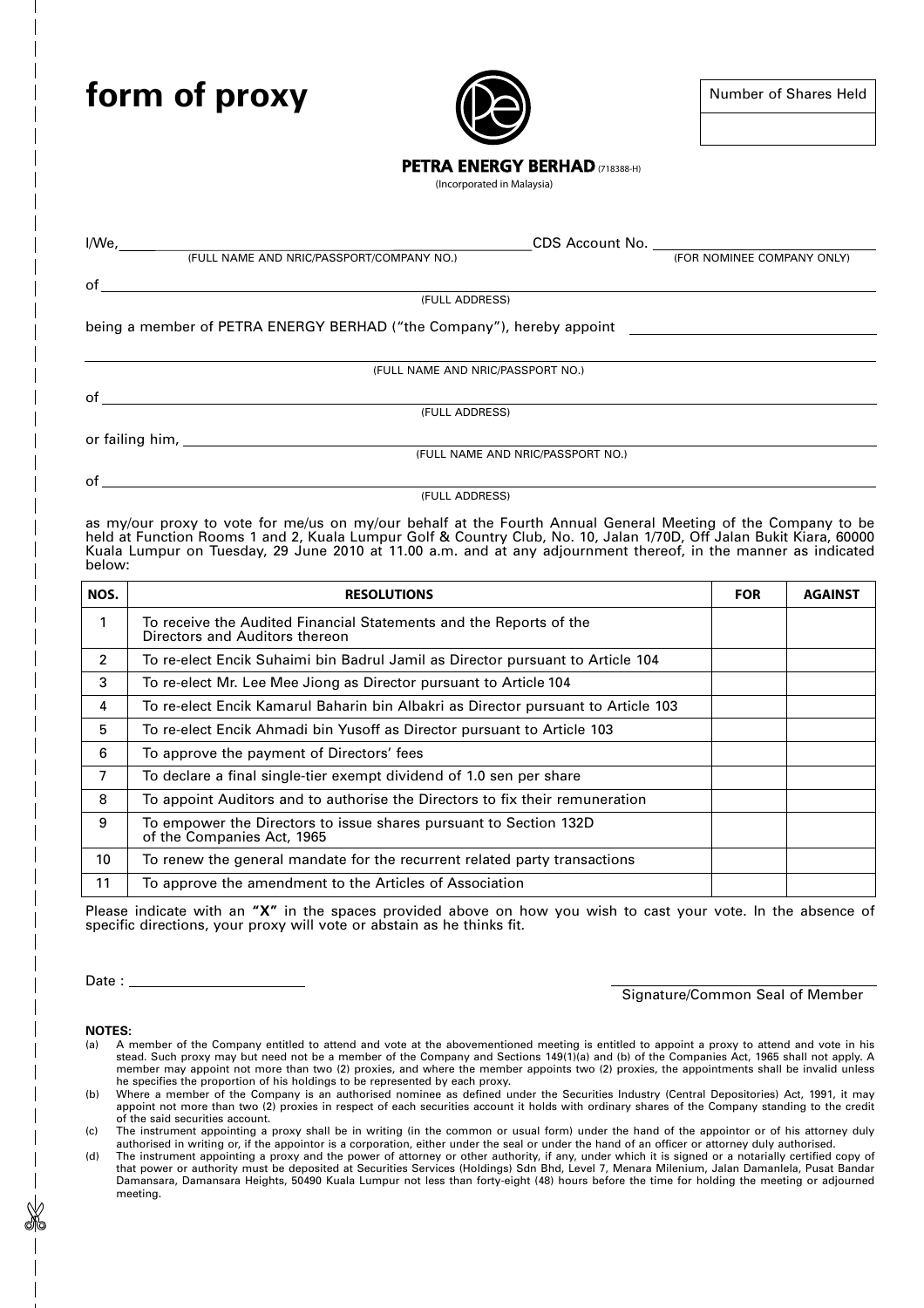# **form of proxy**



# **PETRA ENERGY BERHAD** (718388-H)

(Incorporated in Malaysia)

I/We, CDS Account No. (FULL NAME AND NRIC/PASSPORT/COMPANY NO.) (FOR NOMINEE COMPANY ONLY)

of

(FULL ADDRESS)

being <sup>a</sup> member of PETRA ENERGY BERHAD ("the Company"), hereby appoint

(FULL NAME AND NRIC/PASSPORT NO.)

(FULL ADDRESS)

or failing him, (FULL NAME AND NRIC/PASSPORT NO.)

of

of

as my/our proxy to vote for me/us on my/our behalf at the Fourth Annual General Meeting of the Company to be held at Function Rooms 1 and 2, Kuala Lumpur Golf & Country Club, No. 10, Jalan 1/70D, Off Jalan Bukit Kiara, 60000 Kuala Lumpur on Tuesday, 29 June 2010 at 11.00 a.m. and at any adjournment thereof, in the manner as indicated below:

(FULL ADDRESS)

| NOS.           | <b>RESOLUTIONS</b>                                                                                   | <b>FOR</b> | <b>AGAINST</b> |
|----------------|------------------------------------------------------------------------------------------------------|------------|----------------|
| 1              | To receive the Audited Financial Statements and the Reports of the<br>Directors and Auditors thereon |            |                |
| $\mathfrak{p}$ | To re-elect Encik Suhaimi bin Badrul Jamil as Director pursuant to Article 104                       |            |                |
| 3              | To re-elect Mr. Lee Mee Jiong as Director pursuant to Article 104                                    |            |                |
| 4              | To re-elect Encik Kamarul Baharin bin Albakri as Director pursuant to Article 103                    |            |                |
| 5              | To re-elect Encik Ahmadi bin Yusoff as Director pursuant to Article 103                              |            |                |
| 6              | To approve the payment of Directors' fees                                                            |            |                |
| 7              | To declare a final single-tier exempt dividend of 1.0 sen per share                                  |            |                |
| 8              | To appoint Auditors and to authorise the Directors to fix their remuneration                         |            |                |
| 9              | To empower the Directors to issue shares pursuant to Section 132D<br>of the Companies Act, 1965      |            |                |
| 10             | To renew the general mandate for the recurrent related party transactions                            |            |                |
| 11             | To approve the amendment to the Articles of Association                                              |            |                |

Please indicate with an **"X"** in the spaces provided above on how you wish to cast your vote. In the absence of specific directions, your proxy will vote or abstain as he thinks fit.

Date :

Signature/Common Seal of Member

**NOTES:**

- (a) A member of the Company entitled to attend and vote at the abovementioned meeting is entitled to appoint <sup>a</sup> proxy to attend and vote in his stead. Such proxy may but need not be <sup>a</sup> member of the Company and Sections 149(1)(a) and (b) of the Companies Act, 1965 shall not apply. A member may appoint not more than two (2) proxies, and where the member appoints two (2) proxies, the appointments shall be invalid unless he specifies the proportion of his holdings to be represented by each proxy.
- (b) Where <sup>a</sup> member of the Company is an authorised nominee as defined under the Securities Industry (Central Depositories) Act, 1991, it may appoint not more than two (2) proxies in respect of each securities account it holds with ordinary shares of the Company standing to the credit of the said securities account.

(c) The instrument appointing <sup>a</sup> proxy shall be in writing (in the common or usual form) under the hand of the appointor or of his attorney duly authorised in writing or, if the appointor is <sup>a</sup> corporation, either under the seal or under the hand of an officer or attorney duly authorised.

(d) The instrument appointing <sup>a</sup> proxy and the power of attorney or other authority, if any, under which it is signed or <sup>a</sup> notarially certified copy of that power or authority must be deposited at Securities Services (Holdings) Sdn Bhd, Level 7, Menara Milenium, Jalan Damanlela, Pusat Bandar Damansara, Damansara Heights, 50490 Kuala Lumpur not less than forty-eight (48) hours before the time for holding the meeting or adjourned meeting.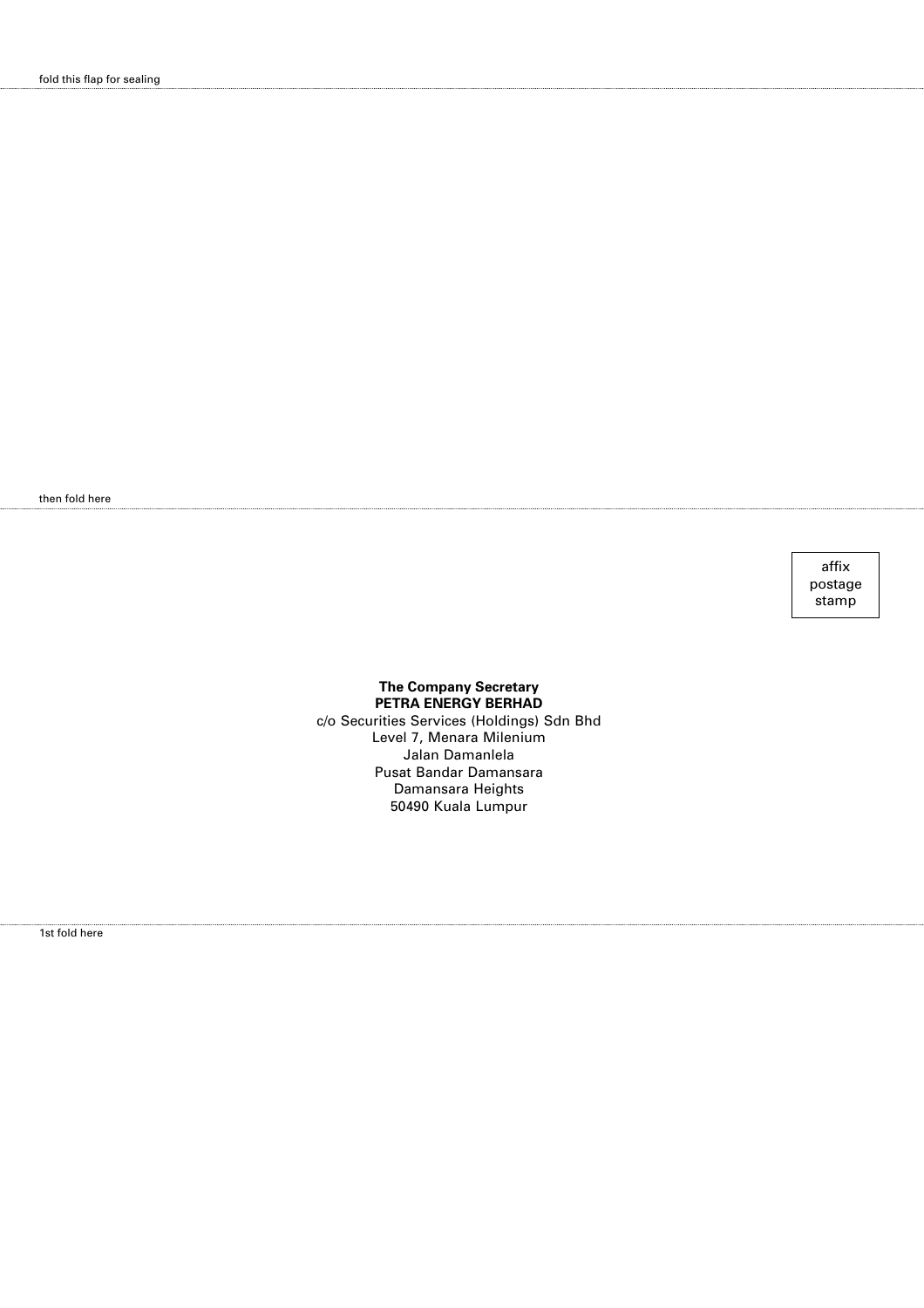then fold here

affix postage stamp

# **The Company Secretary PETRA ENERGY BERHAD**

c/o Securities Services (Holdings) Sdn Bhd Level 7, Menara Milenium Jalan Damanlela Pusat Bandar Damansara Damansara Heights 50490 Kuala Lumpur

1st fold here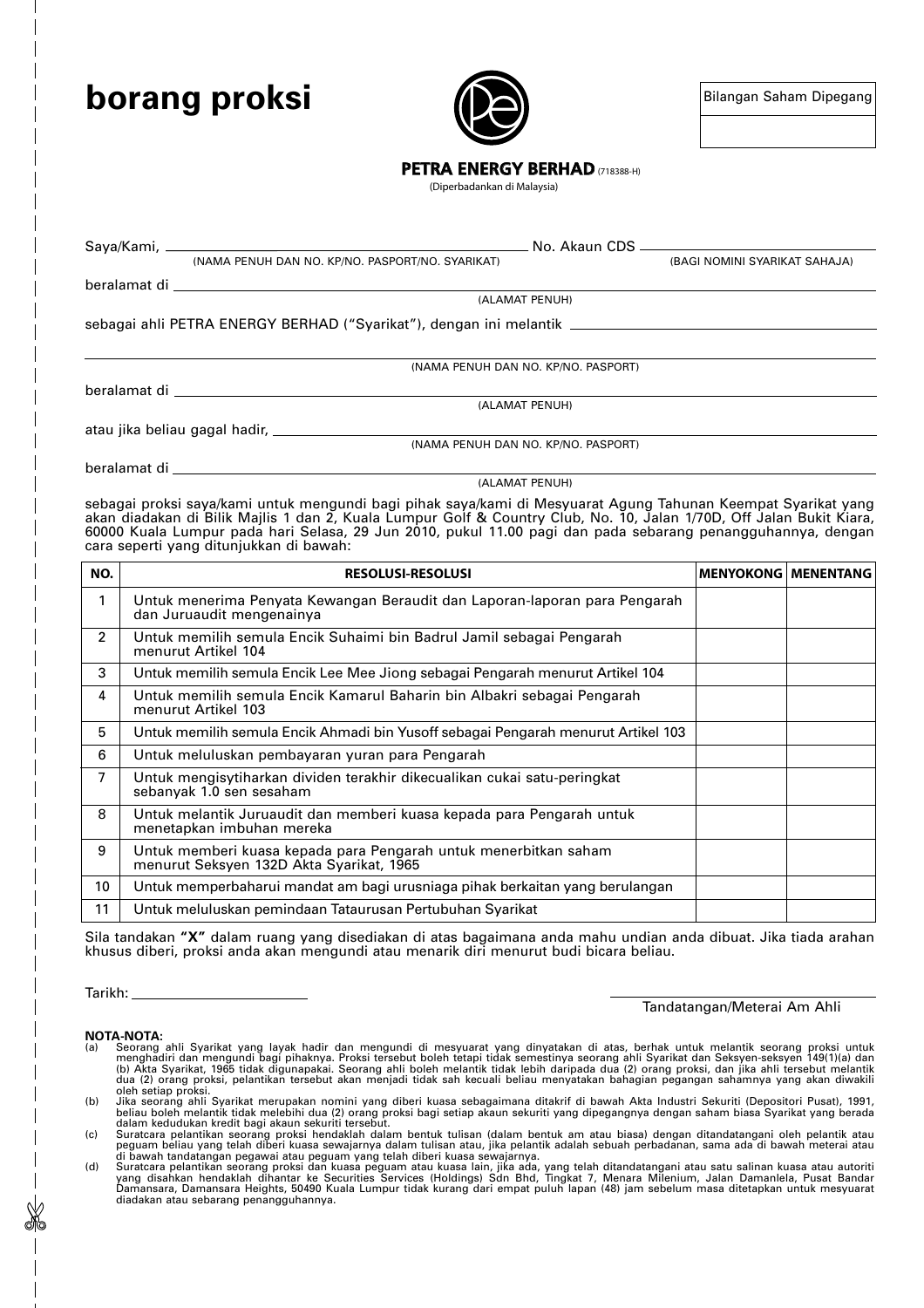# **borang proksi**



# **PETRA ENERGY BERHAD** (718388-H)

(Diperbadankan di Malaysia)

Saya/Kami, No. Akaun CDS (NAMA PENUH DAN NO. KP/NO. PASPORT/NO. SYARIKAT) (BAGI NOMINI SYARIKAT SAHAJA)

beralamat di

(ALAMAT PENUH)

sebagai ahli PETRA ENERGY BERHAD ("Syarikat"), dengan ini melantik

(NAMA PENUH DAN NO. KP/NO. PASPORT)

beralamat di

(ALAMAT PENUH)

atau jika beliau gagal hadir,

beralamat di

(ALAMAT PENUH)

(NAMA PENUH DAN NO. KP/NO. PASPORT)

sebagai proksi saya/kami untuk mengundi bagi pihak saya/kami di Mesyuarat Agung Tahunan Keempat Syarikat yang akan diadakan di Bilik Majlis 1 dan 2, Kuala Lumpur Golf & Country Club, No. 10, Jalan 1/70D, Off Jalan Bukit Kiara, 60000 Kuala Lumpur pada hari Selasa, 29 Jun 2010, pukul 11.00 pagi dan pada sebarang penangguhannya, dengan cara seperti yang ditunjukkan di bawah:

| NO. | <b>RESOLUSI-RESOLUSI</b>                                                                                     | <b>MENYOKONG   MENENTANG</b> |  |
|-----|--------------------------------------------------------------------------------------------------------------|------------------------------|--|
| 1   | Untuk menerima Penyata Kewangan Beraudit dan Laporan-laporan para Pengarah<br>dan Juruaudit mengenainya      |                              |  |
| 2   | Untuk memilih semula Encik Suhaimi bin Badrul Jamil sebagai Pengarah<br>menurut Artikel 104                  |                              |  |
| 3   | Untuk memilih semula Encik Lee Mee Jiong sebagai Pengarah menurut Artikel 104                                |                              |  |
| 4   | Untuk memilih semula Encik Kamarul Baharin bin Albakri sebagai Pengarah<br>menurut Artikel 103               |                              |  |
| 5   | Untuk memilih semula Encik Ahmadi bin Yusoff sebagai Pengarah menurut Artikel 103                            |                              |  |
| 6   | Untuk meluluskan pembayaran yuran para Pengarah                                                              |                              |  |
| 7   | Untuk mengisytiharkan dividen terakhir dikecualikan cukai satu-peringkat<br>sebanyak 1.0 sen sesaham         |                              |  |
| 8   | Untuk melantik Juruaudit dan memberi kuasa kepada para Pengarah untuk<br>menetapkan imbuhan mereka           |                              |  |
| 9   | Untuk memberi kuasa kepada para Pengarah untuk menerbitkan saham<br>menurut Seksyen 132D Akta Syarikat, 1965 |                              |  |
| 10  | Untuk memperbaharui mandat am bagi urusniaga pihak berkaitan yang berulangan                                 |                              |  |
| 11  | Untuk meluluskan pemindaan Tataurusan Pertubuhan Syarikat                                                    |                              |  |

Sila tandakan **"X"** dalam ruang yang disediakan di atas bagaimana anda mahu undian anda dibuat. Jika tiada arahan khusus diberi, proksi anda akan mengundi atau menarik diri menurut budi bicara beliau.

Tarikh:

# Tandatangan/Meterai Am Ahli

#### **NOTA-NOTA:**

- Seorang ahli Syarikti yang layak hadir dan mengundi di mesyuarat yang dinyatakan di atas, berhak untuk melantik seorang proksi untuk melantik seorang ahli Syarikat dan Seksyen-seksyen 149(1)(a) dan (b) Akta Syarikat, 1965
- 
- 
-